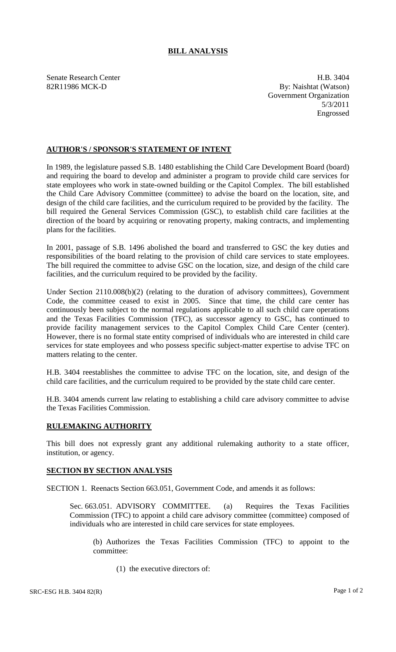## **BILL ANALYSIS**

Senate Research Center **H.B.** 3404 82R11986 MCK-D By: Naishtat (Watson) Government Organization 5/3/2011 Engrossed

## **AUTHOR'S / SPONSOR'S STATEMENT OF INTENT**

In 1989, the legislature passed S.B. 1480 establishing the Child Care Development Board (board) and requiring the board to develop and administer a program to provide child care services for state employees who work in state-owned building or the Capitol Complex. The bill established the Child Care Advisory Committee (committee) to advise the board on the location, site, and design of the child care facilities, and the curriculum required to be provided by the facility. The bill required the General Services Commission (GSC), to establish child care facilities at the direction of the board by acquiring or renovating property, making contracts, and implementing plans for the facilities.

In 2001, passage of S.B. 1496 abolished the board and transferred to GSC the key duties and responsibilities of the board relating to the provision of child care services to state employees. The bill required the committee to advise GSC on the location, size, and design of the child care facilities, and the curriculum required to be provided by the facility.

Under Section 2110.008(b)(2) (relating to the duration of advisory committees), Government Code, the committee ceased to exist in 2005. Since that time, the child care center has continuously been subject to the normal regulations applicable to all such child care operations and the Texas Facilities Commission (TFC), as successor agency to GSC, has continued to provide facility management services to the Capitol Complex Child Care Center (center). However, there is no formal state entity comprised of individuals who are interested in child care services for state employees and who possess specific subject-matter expertise to advise TFC on matters relating to the center.

H.B. 3404 reestablishes the committee to advise TFC on the location, site, and design of the child care facilities, and the curriculum required to be provided by the state child care center.

H.B. 3404 amends current law relating to establishing a child care advisory committee to advise the Texas Facilities Commission.

## **RULEMAKING AUTHORITY**

This bill does not expressly grant any additional rulemaking authority to a state officer, institution, or agency.

## **SECTION BY SECTION ANALYSIS**

SECTION 1. Reenacts Section 663.051, Government Code, and amends it as follows:

Sec. 663.051. ADVISORY COMMITTEE. (a) Requires the Texas Facilities Commission (TFC) to appoint a child care advisory committee (committee) composed of individuals who are interested in child care services for state employees.

(b) Authorizes the Texas Facilities Commission (TFC) to appoint to the committee:

(1) the executive directors of: